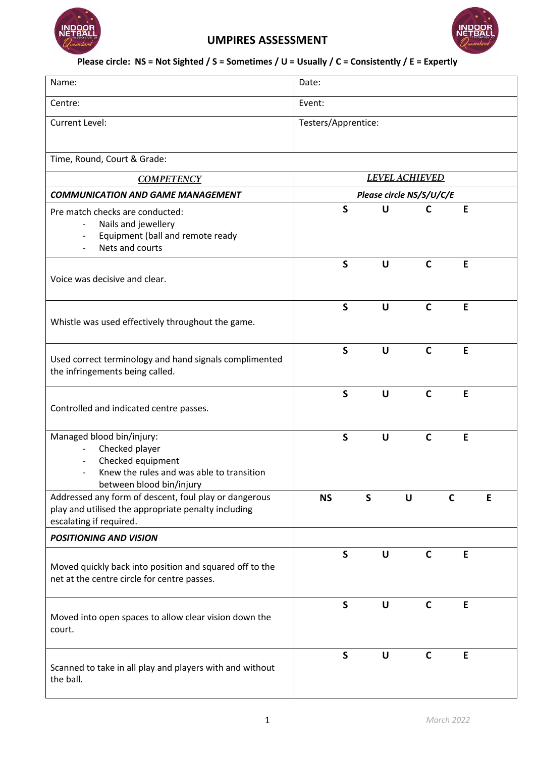

## **UMPIRES ASSESSMENT**



## **Please circle: NS = Not Sighted / S = Sometimes / U = Usually / C = Consistently / E = Expertly**

| Name:                                                                                                                                                                 | Date:                    |              |              |              |    |   |  |  |
|-----------------------------------------------------------------------------------------------------------------------------------------------------------------------|--------------------------|--------------|--------------|--------------|----|---|--|--|
| Centre:                                                                                                                                                               | Event:                   |              |              |              |    |   |  |  |
| Current Level:                                                                                                                                                        | Testers/Apprentice:      |              |              |              |    |   |  |  |
| Time, Round, Court & Grade:                                                                                                                                           |                          |              |              |              |    |   |  |  |
| <b>COMPETENCY</b>                                                                                                                                                     | <b>LEVEL ACHIEVED</b>    |              |              |              |    |   |  |  |
| <b>COMMUNICATION AND GAME MANAGEMENT</b>                                                                                                                              | Please circle NS/S/U/C/E |              |              |              |    |   |  |  |
| Pre match checks are conducted:<br>Nails and jewellery<br>$\overline{\phantom{a}}$<br>Equipment (ball and remote ready<br>$\overline{\phantom{a}}$<br>Nets and courts |                          | $\mathsf{S}$ | U            | $\mathbf C$  | E  |   |  |  |
| Voice was decisive and clear.                                                                                                                                         |                          | $\mathsf{S}$ | U            | $\mathbf C$  | E  |   |  |  |
| Whistle was used effectively throughout the game.                                                                                                                     |                          | $\mathsf{S}$ | U            | $\mathsf{C}$ | E  |   |  |  |
| Used correct terminology and hand signals complimented<br>the infringements being called.                                                                             |                          | $\mathsf{S}$ | U            | $\mathbf C$  | E  |   |  |  |
| Controlled and indicated centre passes.                                                                                                                               |                          | $\mathsf{S}$ | U            | $\mathbf C$  | E  |   |  |  |
| Managed blood bin/injury:<br>Checked player<br>Checked equipment<br>Knew the rules and was able to transition<br>between blood bin/injury                             |                          | $\mathsf{S}$ | $\cup$       | $\mathsf{C}$ | E  |   |  |  |
| Addressed any form of descent, foul play or dangerous<br>play and utilised the appropriate penalty including<br>escalating if required.                               | <b>NS</b>                |              | S            | U            | C  | E |  |  |
| <b>POSITIONING AND VISION</b>                                                                                                                                         |                          |              |              |              |    |   |  |  |
| Moved quickly back into position and squared off to the<br>net at the centre circle for centre passes.                                                                |                          | S            | U            | C            | E  |   |  |  |
| Moved into open spaces to allow clear vision down the<br>court.                                                                                                       |                          | $\mathsf{S}$ | $\mathsf{U}$ | $\mathsf{C}$ | E. |   |  |  |
| Scanned to take in all play and players with and without<br>the ball.                                                                                                 |                          | $\mathsf{S}$ | $\cup$       | $\mathbf C$  | E  |   |  |  |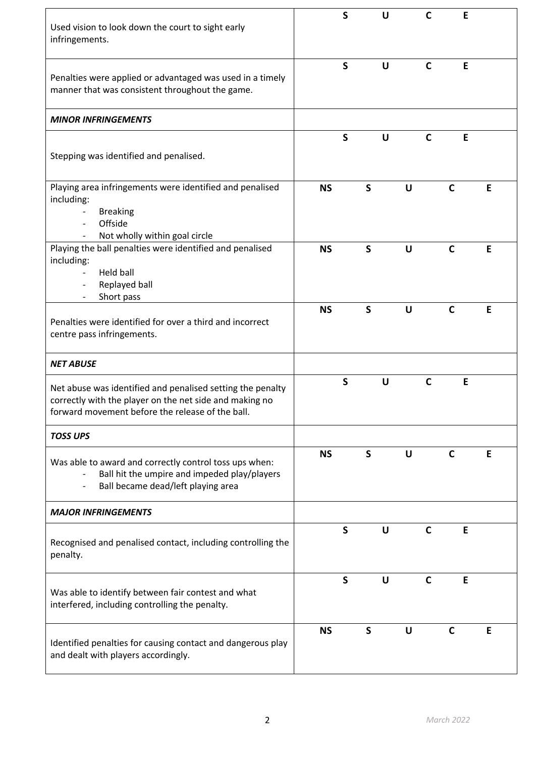| Used vision to look down the court to sight early<br>infringements.                                                                                                                                                       |           | $\mathsf{S}$ |              | U            |              | C           |              | E |   |
|---------------------------------------------------------------------------------------------------------------------------------------------------------------------------------------------------------------------------|-----------|--------------|--------------|--------------|--------------|-------------|--------------|---|---|
| Penalties were applied or advantaged was used in a timely<br>manner that was consistent throughout the game.                                                                                                              |           | $\mathsf{S}$ |              | U            |              | $\mathbf C$ |              | E |   |
| <b>MINOR INFRINGEMENTS</b>                                                                                                                                                                                                |           |              |              |              |              |             |              |   |   |
| Stepping was identified and penalised.                                                                                                                                                                                    |           | $\mathsf{S}$ |              | $\mathsf{U}$ |              | C           |              | E |   |
| Playing area infringements were identified and penalised<br>including:<br><b>Breaking</b><br>$\overline{\phantom{a}}$<br>Offside<br>$\overline{\phantom{a}}$<br>Not wholly within goal circle<br>$\overline{\phantom{a}}$ | <b>NS</b> |              | S            |              | U            |             | $\mathsf{C}$ |   | E |
| Playing the ball penalties were identified and penalised<br>including:<br>Held ball<br>Replayed ball<br>$\overline{\phantom{a}}$<br>Short pass                                                                            | <b>NS</b> |              | $\mathsf{S}$ |              | $\mathsf{U}$ |             | $\mathsf{C}$ |   | E |
| Penalties were identified for over a third and incorrect<br>centre pass infringements.                                                                                                                                    | <b>NS</b> |              | $\mathsf{S}$ |              | U            |             | $\mathsf{C}$ |   | E |
| <b>NET ABUSE</b>                                                                                                                                                                                                          |           |              |              |              |              |             |              |   |   |
| Net abuse was identified and penalised setting the penalty<br>correctly with the player on the net side and making no<br>forward movement before the release of the ball.                                                 |           | $\mathsf S$  |              | U            |              | C           |              | E |   |
| <b>TOSS UPS</b>                                                                                                                                                                                                           |           |              |              |              |              |             |              |   |   |
| Was able to award and correctly control toss ups when:<br>Ball hit the umpire and impeded play/players<br>$\overline{\phantom{a}}$<br>Ball became dead/left playing area<br>$\overline{\phantom{a}}$                      | <b>NS</b> |              | S            |              | U            |             | C            |   | E |
| <b>MAJOR INFRINGEMENTS</b>                                                                                                                                                                                                |           |              |              |              |              |             |              |   |   |
| Recognised and penalised contact, including controlling the<br>penalty.                                                                                                                                                   |           | $\mathsf{S}$ |              | U            |              | C           |              | Е |   |
| Was able to identify between fair contest and what<br>interfered, including controlling the penalty.                                                                                                                      |           | $\mathsf{S}$ |              | $\mathsf{U}$ |              | $\mathbf C$ |              | E |   |
| Identified penalties for causing contact and dangerous play<br>and dealt with players accordingly.                                                                                                                        | <b>NS</b> |              | S            |              | U            |             | $\mathsf{C}$ |   | E |